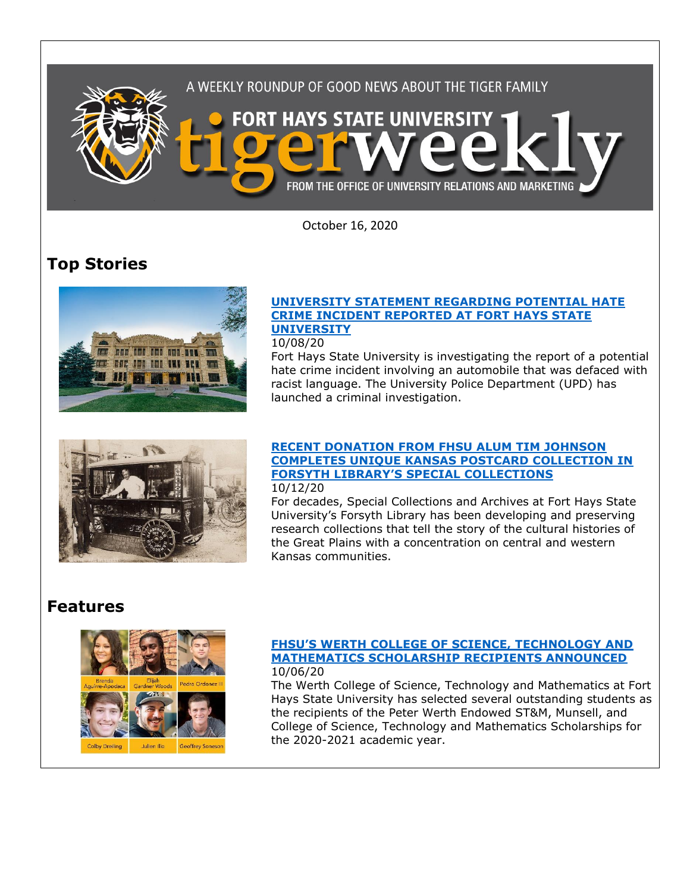

October 16, 2020

# **Top Stories**



### **[UNIVERSITY STATEMENT REGARDING POTENTIAL HATE](https://fhsu.edu/news/2020/10/university-statement-regarding-potential-hate-crime-incident-reported-at-fort-hays-state-university)  [CRIME INCIDENT REPORTED AT FORT HAYS STATE](https://fhsu.edu/news/2020/10/university-statement-regarding-potential-hate-crime-incident-reported-at-fort-hays-state-university)  [UNIVERSITY](https://fhsu.edu/news/2020/10/university-statement-regarding-potential-hate-crime-incident-reported-at-fort-hays-state-university)**

### 10/08/20

Fort Hays State University is investigating the report of a potential hate crime incident involving an automobile that was defaced with racist language. The University Police Department (UPD) has launched a criminal investigation.



### **[RECENT DONATION FROM FHSU ALUM TIM JOHNSON](https://fhsu.edu/news/2020/10/recent-donation-from-fhsu-alum-tim-johnson-completes-unique-kansas-postcard-collection-in-forsyth-librarys-special-collections)  [COMPLETES UNIQUE KANSAS POSTCARD COLLECTION IN](https://fhsu.edu/news/2020/10/recent-donation-from-fhsu-alum-tim-johnson-completes-unique-kansas-postcard-collection-in-forsyth-librarys-special-collections)  FORSYTH LIBRARY'S [SPECIAL COLLECTIONS](https://fhsu.edu/news/2020/10/recent-donation-from-fhsu-alum-tim-johnson-completes-unique-kansas-postcard-collection-in-forsyth-librarys-special-collections)** 10/12/20

For decades, Special Collections and Archives at Fort Hays State University's Forsyth Library has been developing and preserving research collections that tell the story of the cultural histories of the Great Plains with a concentration on central and western Kansas communities.

# **Features**



### **[FHSU'S WERTH COLLEGE OF SCIENCE, TECHNOLOGY](https://fhsu.edu/news/2020/10/fhsus-werth-college-of-science,-technology-and-mathematics-scholarship-recipients-announced) AND [MATHEMATICS SCHOLARSHIP RECIPIENTS ANNOUNCED](https://fhsu.edu/news/2020/10/fhsus-werth-college-of-science,-technology-and-mathematics-scholarship-recipients-announced)** 10/06/20

The Werth College of Science, Technology and Mathematics at Fort Hays State University has selected several outstanding students as the recipients of the Peter Werth Endowed ST&M, Munsell, and College of Science, Technology and Mathematics Scholarships for the 2020-2021 academic year.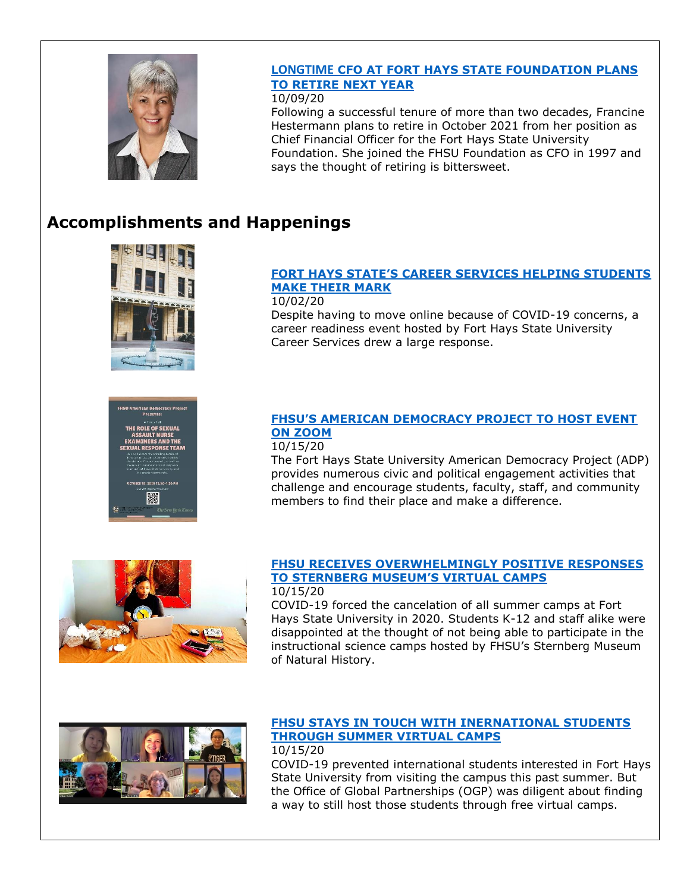

# **LONGTIME [CFO AT FORT HAYS STATE FOUNDATION PLANS](https://fhsu.edu/news/2020/10/longtime-cfo-at-fort-hays-state-foundation-plans-to-retire-next-year)  [TO RETIRE NEXT YEAR](https://fhsu.edu/news/2020/10/longtime-cfo-at-fort-hays-state-foundation-plans-to-retire-next-year)**

10/09/20

Following a successful tenure of more than two decades, Francine Hestermann plans to retire in October 2021 from her position as Chief Financial Officer for the Fort Hays State University Foundation. She joined the FHSU Foundation as CFO in 1997 and says the thought of retiring is bittersweet.

# **Accomplishments and Happenings**



## **[FORT HAYS STATE'S CAREER SERVICES HELPING STUDENTS](https://fhsu.edu/news/2020/10/fort-hays-states-career-services-helping-students-make-their-mark)  [MAKE THEIR MARK](https://fhsu.edu/news/2020/10/fort-hays-states-career-services-helping-students-make-their-mark)**

10/02/20 Despite having to move online because of COVID-19 concerns, a career readiness event hosted by Fort Hays State University Career Services drew a large response.



## **[FHSU'S AMERICAN DEMOCRACY PROJECT TO HOST EVENT](https://fhsu.edu/news/2020/10/fhsus-american-democracy-project-to-host-event-on-zoom)  [ON ZOOM](https://fhsu.edu/news/2020/10/fhsus-american-democracy-project-to-host-event-on-zoom)**

### 10/15/20

The Fort Hays State University American Democracy Project (ADP) provides numerous civic and political engagement activities that challenge and encourage students, faculty, staff, and community members to find their place and make a difference.



# **[FHSU RECEIVES OVERWHELMINGLY POSITIVE RESPONSES](https://fhsu.edu/news/2020/10/fhsu-receives-overwhelmingly-positive-responses-to-sternberg-museums-virtual-camps)  [TO STERNBERG MUSEUM'S VIRTUAL CAMPS](https://fhsu.edu/news/2020/10/fhsu-receives-overwhelmingly-positive-responses-to-sternberg-museums-virtual-camps)**

10/15/20

COVID-19 forced the cancelation of all summer camps at Fort Hays State University in 2020. Students K-12 and staff alike were disappointed at the thought of not being able to participate in the instructional science camps hosted by FHSU's Sternberg Museum of Natural History.



### **[FHSU STAYS IN TOUCH WITH INERNATIONAL STUDENTS](https://fhsu.edu/news/2020/10/fhsu-stays-in-touch-with-international-students-through-summer-virtual-camps)  [THROUGH SUMMER VIRTUAL CAMPS](https://fhsu.edu/news/2020/10/fhsu-stays-in-touch-with-international-students-through-summer-virtual-camps)** 10/15/20

COVID-19 prevented international students interested in Fort Hays State University from visiting the campus this past summer. But the Office of Global Partnerships (OGP) was diligent about finding a way to still host those students through free virtual camps.